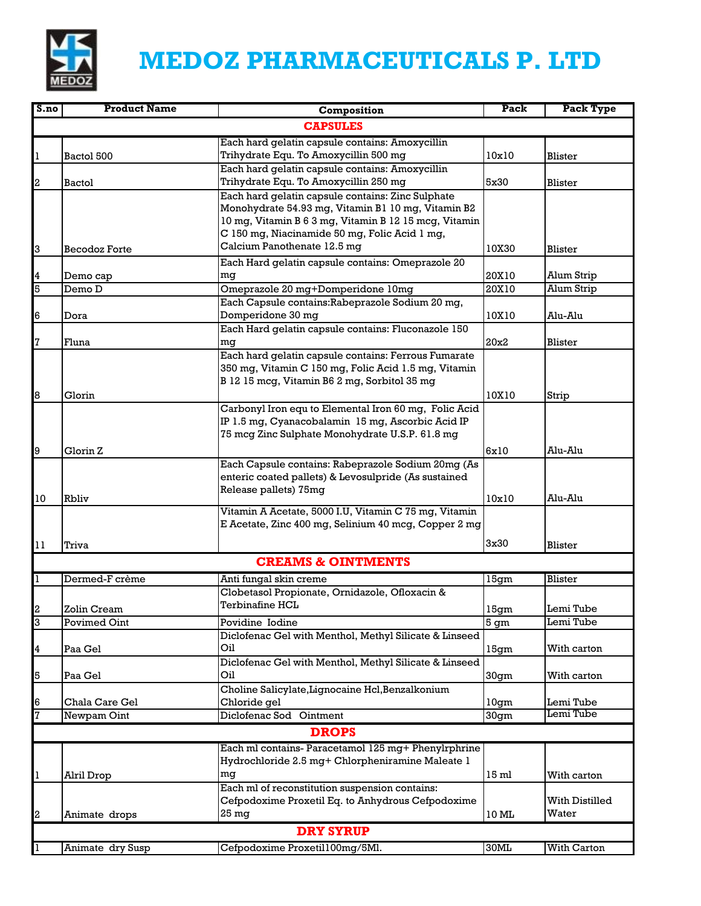

## **MEDOZ PHARMACEUTICALS P. LTD**

| S.no | <b>Product Name</b>  | Composition                                                                                            | Pack             | Pack Type          |  |
|------|----------------------|--------------------------------------------------------------------------------------------------------|------------------|--------------------|--|
|      | <b>CAPSULES</b>      |                                                                                                        |                  |                    |  |
|      |                      | Each hard gelatin capsule contains: Amoxycillin                                                        |                  |                    |  |
|      | Bactol 500           | Trihydrate Equ. To Amoxycillin 500 mg                                                                  | 10x10            | Blister            |  |
|      |                      | Each hard gelatin capsule contains: Amoxycillin                                                        |                  |                    |  |
| 2    | <b>Bactol</b>        | Trihydrate Equ. To Amoxycillin 250 mg                                                                  | 5x30             | Blister            |  |
|      |                      | Each hard gelatin capsule contains: Zinc Sulphate                                                      |                  |                    |  |
|      |                      | Monohydrate 54.93 mg, Vitamin B1 10 mg, Vitamin B2                                                     |                  |                    |  |
|      |                      | 10 mg, Vitamin B 6 3 mg, Vitamin B 12 15 mcg, Vitamin<br>C 150 mg, Niacinamide 50 mg, Folic Acid 1 mg, |                  |                    |  |
|      | <b>Becodoz Forte</b> | Calcium Panothenate 12.5 mg                                                                            | 10X30            | Blister            |  |
| 3    |                      | Each Hard gelatin capsule contains: Omeprazole 20                                                      |                  |                    |  |
| 4    | Demo cap             | mg                                                                                                     | 20X10            | Alum Strip         |  |
| 5    | Demo D               | Omeprazole 20 mg+Domperidone 10mg                                                                      | 20X10            | Alum Strip         |  |
|      |                      | Each Capsule contains: Rabeprazole Sodium 20 mg,                                                       |                  |                    |  |
| 6    | Dora                 | Domperidone 30 mg                                                                                      | 10X10            | Alu-Alu            |  |
|      |                      | Each Hard gelatin capsule contains: Fluconazole 150                                                    |                  |                    |  |
| 7    | Fluna                | mg                                                                                                     | 20x2             | Blister            |  |
|      |                      | Each hard gelatin capsule contains: Ferrous Fumarate                                                   |                  |                    |  |
|      |                      | 350 mg, Vitamin C 150 mg, Folic Acid 1.5 mg, Vitamin                                                   |                  |                    |  |
|      |                      | B 12 15 mcg, Vitamin B6 2 mg, Sorbitol 35 mg                                                           |                  |                    |  |
| 8    | Glorin               |                                                                                                        | 10X10            | Strip              |  |
|      |                      | Carbonyl Iron equ to Elemental Iron 60 mg, Folic Acid                                                  |                  |                    |  |
|      |                      | IP 1.5 mg, Cyanacobalamin 15 mg, Ascorbic Acid IP                                                      |                  |                    |  |
|      |                      | 75 mcg Zinc Sulphate Monohydrate U.S.P. 61.8 mg                                                        |                  |                    |  |
| 9    | Glorin Z             |                                                                                                        | 6x10             | Alu-Alu            |  |
|      |                      | Each Capsule contains: Rabeprazole Sodium 20mg (As                                                     |                  |                    |  |
|      |                      | enteric coated pallets) & Levosulpride (As sustained<br>Release pallets) 75mg                          |                  |                    |  |
| 10   | <b>Rbliv</b>         |                                                                                                        | 10x10            | Alu-Alu            |  |
|      |                      | Vitamin A Acetate, 5000 I.U, Vitamin C 75 mg, Vitamin                                                  |                  |                    |  |
|      |                      | E Acetate, Zinc 400 mg, Selinium 40 mcg, Copper 2 mg                                                   |                  |                    |  |
| 11   | Triva                |                                                                                                        | 3x30             | Blister            |  |
|      |                      | <b>CREAMS &amp; OINTMENTS</b>                                                                          |                  |                    |  |
|      |                      |                                                                                                        |                  |                    |  |
| 1    | Dermed-F crème       | Anti fungal skin creme<br>Clobetasol Propionate, Ornidazole, Ofloxacin &                               | 15gm             | Blister            |  |
|      |                      | <b>Terbinafine HCL</b>                                                                                 |                  |                    |  |
| 2    | Zolin Cream          |                                                                                                        | 15gm             | Lemi Tube          |  |
| З    | Povimed Oint         | Povidine Iodine<br>Diclofenac Gel with Menthol, Methyl Silicate & Linseed                              | 5 gm             | Lemi Tube          |  |
| 4    | Paa Gel              | Oil                                                                                                    | 15gm             | With carton        |  |
|      |                      | Diclofenac Gel with Menthol, Methyl Silicate & Linseed                                                 |                  |                    |  |
| 5    | Paa Gel              | Oil                                                                                                    | 30gm             | With carton        |  |
|      |                      | Choline Salicylate, Lignocaine Hcl, Benzalkonium                                                       |                  |                    |  |
| 16   | Chala Care Gel       | Chloride gel                                                                                           | 10gm             | Lemi Tube          |  |
| 7    | Newpam Oint          | Diclofenac Sod Ointment                                                                                | 30 <sub>gm</sub> | Lemi Tube          |  |
|      |                      | <b>DROPS</b>                                                                                           |                  |                    |  |
|      |                      | Each ml contains- Paracetamol 125 mg+ Phenylrphrine                                                    |                  |                    |  |
|      |                      | Hydrochloride 2.5 mg+ Chlorpheniramine Maleate 1                                                       |                  |                    |  |
| 11   | Alril Drop           | mq                                                                                                     | 15 ml            | With carton        |  |
|      |                      | Each ml of reconstitution suspension contains:                                                         |                  |                    |  |
|      |                      | Cefpodoxime Proxetil Eq. to Anhydrous Cefpodoxime                                                      |                  | With Distilled     |  |
| 2    | Animate drops        | 25 mg                                                                                                  | 10 ML            | Water              |  |
|      | <b>DRY SYRUP</b>     |                                                                                                        |                  |                    |  |
|      | Animate dry Susp     | Cefpodoxime Proxetil100mg/5Ml.                                                                         | 30ML             | <b>With Carton</b> |  |
|      |                      |                                                                                                        |                  |                    |  |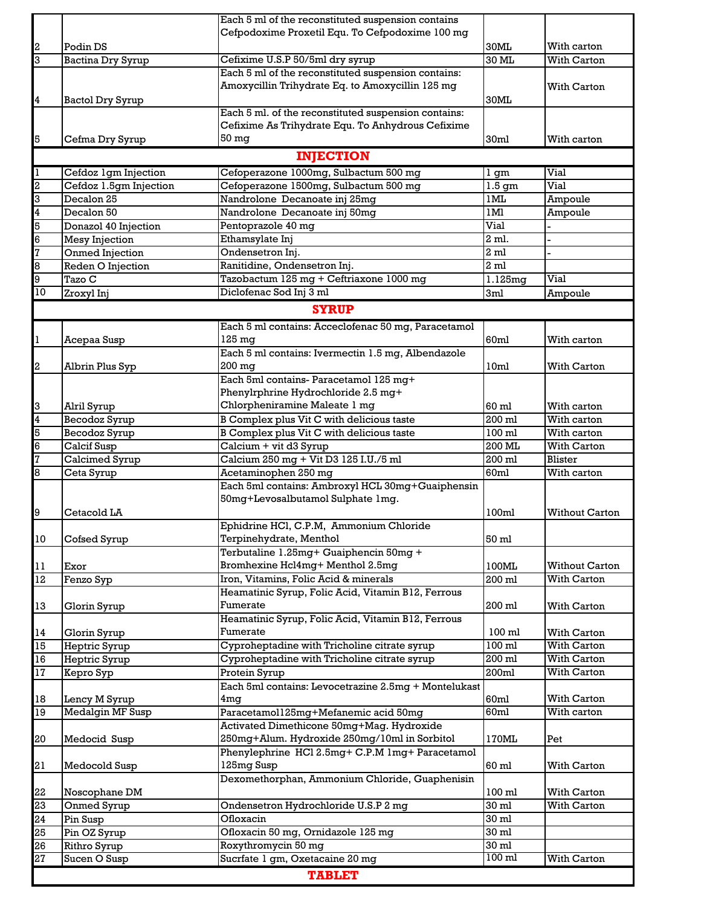|                         |                         | Each 5 ml of the reconstituted suspension contains   |                   |                       |  |  |
|-------------------------|-------------------------|------------------------------------------------------|-------------------|-----------------------|--|--|
|                         |                         | Cefpodoxime Proxetil Equ. To Cefpodoxime 100 mg      |                   |                       |  |  |
| $\boldsymbol{z}$        | Podin DS                |                                                      | 30ML              | With carton           |  |  |
| 3                       | Bactina Dry Syrup       | Cefixime U.S.P 50/5ml dry syrup                      | $30$ ML           | With Carton           |  |  |
|                         |                         | Each 5 ml of the reconstituted suspension contains:  |                   |                       |  |  |
|                         |                         | Amoxycillin Trihydrate Eq. to Amoxycillin 125 mg     |                   | With Carton           |  |  |
| $\overline{\mathbf{4}}$ | Bactol Dry Syrup        |                                                      | 30ML              |                       |  |  |
|                         |                         | Each 5 ml. of the reconstituted suspension contains: |                   |                       |  |  |
|                         |                         | Cefixime As Trihydrate Equ. To Anhydrous Cefixime    |                   |                       |  |  |
| 5                       | Cefma Dry Syrup         | 50 <sub>mg</sub>                                     | 30ml              | With carton           |  |  |
|                         |                         | <b>INJECTION</b>                                     |                   |                       |  |  |
|                         |                         |                                                      |                   |                       |  |  |
| 1                       | Cefdoz 1gm Injection    | Cefoperazone 1000mg, Sulbactum 500 mg                | 1 gm              | Vial                  |  |  |
| $\overline{a}$          | Cefdoz 1.5gm Injection  | Cefoperazone 1500mg, Sulbactum 500 mg                | 1.5 <sub>gm</sub> | Vial                  |  |  |
| 3                       | Decalon 25              | Nandrolone Decanoate inj 25mg                        | 1ML               | Ampoule               |  |  |
| $\overline{4}$          | Decalon 50              | Nandrolone Decanoate inj 50mg                        | $1\,\mathrm{M}l$  | Ampoule               |  |  |
| 5                       | Donazol 40 Injection    | Pentoprazole 40 mg                                   | Vial              |                       |  |  |
| $\overline{6}$          | <b>Mesy Injection</b>   | Ethamsylate Inj                                      | 2 ml.             |                       |  |  |
| 7                       | Onmed Injection         | Ondensetron Inj.                                     | 2 <sub>ml</sub>   |                       |  |  |
| 8                       | Reden O Injection       | Ranitidine, Ondensetron Inj.                         | 2 <sub>ml</sub>   |                       |  |  |
| 9                       | Tazo C                  | Tazobactum 125 mg + Ceftriaxone 1000 mg              | 1.125mg           | Vial                  |  |  |
| 10                      | Zroxyl Inj              | Diclofenac Sod Inj 3 ml                              | 3ml               | Ampoule               |  |  |
|                         |                         | <b>SYRUP</b>                                         |                   |                       |  |  |
|                         |                         |                                                      |                   |                       |  |  |
|                         |                         | Each 5 ml contains: Acceclofenac 50 mg, Paracetamol  |                   |                       |  |  |
| 1                       | Acepaa Susp             | $125 \text{ mg}$                                     | 60ml              | With carton           |  |  |
|                         |                         | Each 5 ml contains: Ivermectin 1.5 mg, Albendazole   |                   |                       |  |  |
| $\overline{\mathbf{c}}$ | Albrin Plus Syp         | $200$ mg                                             | 10 <sub>ml</sub>  | With Carton           |  |  |
|                         |                         | Each 5ml contains-Paracetamol 125 mg+                |                   |                       |  |  |
|                         |                         | Phenylrphrine Hydrochloride 2.5 mg+                  |                   |                       |  |  |
| $\overline{3}$          | Alril Syrup             | Chlorpheniramine Maleate 1 mg                        | 60 ml             | With carton           |  |  |
| $\overline{\mathbf{4}}$ | Becodoz Syrup           | B Complex plus Vit C with delicious taste            | 200 ml            | With carton           |  |  |
| 5                       | Becodoz Syrup           | B Complex plus Vit C with delicious taste            | 100 ml            | With carton           |  |  |
| 6                       | Calcif Susp             | Calcium + vit d3 Syrup                               | 200 ML            | With Carton           |  |  |
| $\overline{7}$          | Calcimed Syrup          | Calcium 250 mg + Vit D3 125 I.U./5 ml                | 200 ml            | Blister               |  |  |
| 8                       | Ceta Syrup              | Acetaminophen 250 mg                                 | 60ml              | With carton           |  |  |
|                         |                         | Each 5ml contains: Ambroxyl HCL 30mg+Guaiphensin     |                   |                       |  |  |
|                         |                         | 50mg+Levosalbutamol Sulphate 1mg.                    |                   |                       |  |  |
| 9                       | Cetacold LA             |                                                      | 100ml             | <b>Without Carton</b> |  |  |
|                         |                         | Ephidrine HCl, C.P.M, Ammonium Chloride              |                   |                       |  |  |
| 10                      | Cofsed Syrup            | Terpinehydrate, Menthol                              | 50 ml             |                       |  |  |
|                         |                         | Terbutaline 1.25mg+ Guaiphencin 50mg +               |                   |                       |  |  |
| $1\,1$                  | Exor                    | Bromhexine Hcl4mg+ Menthol 2.5mg                     | 100ML             | <b>Without Carton</b> |  |  |
| 12                      | Fenzo Syp               | Iron, Vitamins, Folic Acid & minerals                | 200 ml            | With Carton           |  |  |
|                         |                         | Heamatinic Syrup, Folic Acid, Vitamin B12, Ferrous   |                   |                       |  |  |
| 13                      | Glorin Syrup            | Fumerate                                             | 200 ml            | With Carton           |  |  |
|                         |                         | Heamatinic Syrup, Folic Acid, Vitamin B12, Ferrous   |                   |                       |  |  |
| 14                      | Glorin Syrup            | Fumerate                                             | 100 ml            | With Carton           |  |  |
| 15                      | Heptric Syrup           | Cyproheptadine with Tricholine citrate syrup         | 100 ml            | With Carton           |  |  |
| $16\,$                  | Heptric Syrup           | Cyproheptadine with Tricholine citrate syrup         | 200 ml            | With Carton           |  |  |
| $17\,$                  | Kepro Syp               | Protein Syrup                                        | 200ml             | With Carton           |  |  |
|                         |                         | Each 5ml contains: Levocetrazine 2.5mg + Montelukast |                   |                       |  |  |
| 18                      | Lency M Syrup           | 4 <sub>mq</sub>                                      | 60ml              | With Carton           |  |  |
| 19                      | <b>Medalgin MF Susp</b> | Paracetamol125mg+Mefanemic acid 50mg                 | 60ml              | With carton           |  |  |
|                         |                         | Activated Dimethicone 50mg+Mag. Hydroxide            |                   |                       |  |  |
| 20                      | Medocid Susp            | 250mg+Alum. Hydroxide 250mg/10ml in Sorbitol         | 170ML             | Pet                   |  |  |
|                         |                         | Phenylephrine HCl 2.5mg+ C.P.M 1mg+ Paracetamol      |                   |                       |  |  |
| 21                      | Medocold Susp           | 125mg Susp                                           | 60 ml             | With Carton           |  |  |
|                         |                         | Dexomethorphan, Ammonium Chloride, Guaphenisin       |                   |                       |  |  |
| 22                      | Noscophane DM           |                                                      | $100$ ml          | With Carton           |  |  |
| 23                      | Onmed Syrup             | Ondensetron Hydrochloride U.S.P 2 mg                 | $30 \mathrm{ml}$  |                       |  |  |
| 24                      | Pin Susp                | Ofloxacin                                            | 30 ml             | With Carton           |  |  |
|                         |                         | Ofloxacin 50 mg, Ornidazole 125 mg                   | 30 ml             |                       |  |  |
| 52                      | Pin OZ Syrup            |                                                      | 30 ml             |                       |  |  |
| 26                      | Rithro Syrup            | Roxythromycin 50 mg                                  | 100 ml            |                       |  |  |
| 27                      | Sucen O Susp            | Sucrfate 1 gm, Oxetacaine 20 mg                      |                   | With Carton           |  |  |
|                         | <b>TABLET</b>           |                                                      |                   |                       |  |  |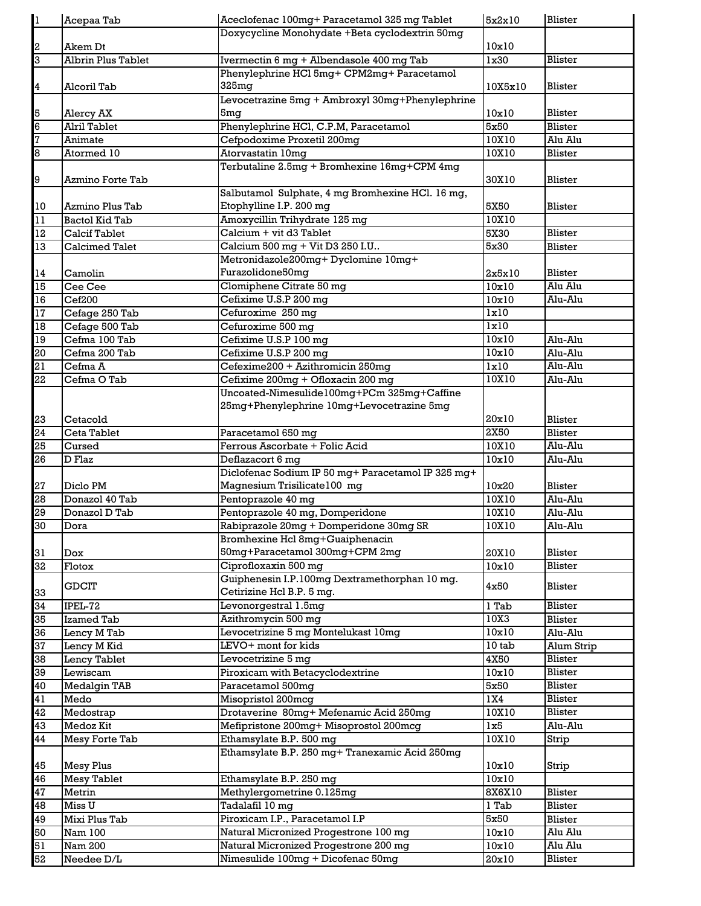| 1                       | Acepaa Tab            | Aceclofenac 100mg+ Paracetamol 325 mg Tablet                               | 5x2x10         | Blister            |
|-------------------------|-----------------------|----------------------------------------------------------------------------|----------------|--------------------|
| $\boldsymbol{2}$        | Akem Dt               | Doxycycline Monohydate +Beta cyclodextrin 50mg                             | 10x10          |                    |
| 3                       | Albrin Plus Tablet    | Ivermectin 6 mg + Albendasole 400 mg Tab                                   | 1x30           | Blister            |
|                         |                       | Phenylephrine HCl 5mg+ CPM2mg+ Paracetamol                                 |                |                    |
| 4                       | Alcoril Tab           | 325mg                                                                      | 10X5x10        | Blister            |
|                         |                       | Levocetrazine 5mg + Ambroxyl 30mg+Phenylephrine                            |                |                    |
| 5                       | Alercy AX             | 5mq                                                                        | 10x10          | Blister            |
| 6                       | Alril Tablet          | Phenylephrine HCl, C.P.M, Paracetamol                                      | 5x50           | Blister            |
| 7                       | Animate               | Cefpodoxime Proxetil 200mg                                                 | 10X10          | Alu Alu            |
| 8                       | Atormed 10            | Atorvastatin 10mq                                                          | 10X10          | Blister            |
|                         |                       | Terbutaline 2.5mg + Bromhexine 16mg+CPM 4mg                                |                |                    |
| 9                       | Azmino Forte Tab      |                                                                            | 30X10          | Blister            |
|                         |                       | Salbutamol Sulphate, 4 mg Bromhexine HCl. 16 mg,                           |                |                    |
| 10                      | Azmino Plus Tab       | Etophylline I.P. 200 mg                                                    | 5X50           | Blister            |
| $\overline{11}$         | <b>Bactol Kid Tab</b> | Amoxycillin Trihydrate 125 mg                                              | 10X10          |                    |
| 12                      | <b>Calcif Tablet</b>  | Calcium + vit d3 Tablet                                                    | 5X30           | Blister            |
| 13                      | <b>Calcimed Talet</b> | Calcium 500 mg + Vit D3 250 I.U                                            | 5x30           | Blister            |
|                         |                       | Metronidazole200mg+Dyclomine 10mg+                                         |                |                    |
| $14\,$                  | Camolin               | Furazolidone50mg                                                           | 2x5x10         | Blister            |
| 15                      | Cee Cee               | Clomiphene Citrate 50 mg                                                   | 10x10          | Alu Alu            |
| 16                      | Cef200                | Cefixime U.S.P 200 mg                                                      | 10x10          | Alu-Alu            |
| 17                      | Cefage 250 Tab        | Cefuroxime 250 mg                                                          | lx10           |                    |
| $\overline{18}$         | Cefage 500 Tab        | Cefuroxime 500 mg                                                          | lx10           |                    |
| 19                      | Cefma 100 Tab         | Cefixime U.S.P 100 mg                                                      | 10x10          | Alu-Alu            |
| g<br>S                  | Cefma 200 Tab         | Cefixime U.S.P 200 mg                                                      | 10x10          | Alu-Alu            |
| $\overline{\mathtt{S}}$ | Cefma A               | Cefexime200 + Azithromicin 250mg                                           | lx10           | Alu-Alu            |
| 22                      | Cefma O Tab           | Cefixime 200mg + Ofloxacin 200 mg                                          | 10X10          | Alu-Alu            |
|                         |                       | Uncoated-Nimesulide100mg+PCm 325mg+Caffine                                 |                |                    |
|                         |                       | 25mg+Phenylephrine 10mg+Levocetrazine 5mg                                  |                |                    |
| 23                      | Cetacold              |                                                                            | 20x10          | Blister            |
| 24                      | Ceta Tablet           | Paracetamol 650 mg                                                         | 2x50           | Blister            |
| 25                      | Cursed                | Ferrous Ascorbate + Folic Acid                                             | 10X10          | Alu-Alu            |
|                         | D Flaz                | Deflazacort 6 mg                                                           | 10x10          | Alu-Alu            |
| 98                      |                       |                                                                            |                |                    |
|                         |                       | Diclofenac Sodium IP 50 mg+ Paracetamol IP 325 mg+                         |                |                    |
| 27                      | Diclo PM              | Magnesium Trisilicate100 mg                                                | 10x20          | Blister            |
| 8                       | Donazol 40 Tab        | Pentoprazole 40 mg                                                         | 10X10          | Alu-Alu            |
| 29                      | Donazol D Tab         | Pentoprazole 40 mg, Domperidone                                            | 10X10          | Alu-Alu            |
| 30                      | Dora                  | Rabiprazole 20mg + Domperidone 30mg SR                                     | 10X10          | Alu-Alu            |
|                         |                       | Bromhexine Hcl 8mg+Guaiphenacin                                            |                |                    |
| 31                      | Dox                   | 50mg+Paracetamol 300mg+CPM 2mg                                             | 20X10          | Blister            |
| 32                      | Flotox                | Ciprofloxaxin 500 mg                                                       | 10x10          | Blister            |
|                         | <b>GDCIT</b>          | Guiphenesin I.P.100mg Dextramethorphan 10 mg.                              | 4x50           | Blister            |
| 33                      |                       | Cetirizine Hcl B.P. 5 mg.                                                  |                |                    |
| 34                      | IPEL-72               | Levonorgestral 1.5mg                                                       | 1 Tab          | Blister            |
| 35                      | Izamed Tab            | Azithromycin 500 mg                                                        | 10X3           | Blister            |
| 36                      | Lency M Tab           | Levocetrizine 5 mg Montelukast 10mg                                        | 10x10          | Alu-Alu            |
| 37                      | Lency M Kid           | LEVO+ mont for kids                                                        | $10$ tab       | Alum Strip         |
| 38                      | Lency Tablet          | Levocetrizine 5 mg                                                         | 4X50           | Blister            |
| 39                      | Lewiscam              | Piroxicam with Betacyclodextrine                                           | 10x10          | Blister            |
| 40                      | Medalgin TAB          | Paracetamol 500mg                                                          | 5x50           | <b>Blister</b>     |
| 41                      | Medo                  | Misopristol 200mcg                                                         | 1X4            | Blister            |
| 42                      | Medostrap             | Drotaverine 80mg+ Mefenamic Acid 250mg                                     | 10X10          | Blister            |
| 43                      | Medoz Kit             | Mefipristone 200mg+ Misoprostol 200mcg                                     | 1x5            | Alu-Alu            |
| 44                      | Mesy Forte Tab        | Ethamsylate B.P. 500 mg                                                    | 10X10          | Strip              |
|                         |                       | Ethamsylate B.P. 250 mg+ Tranexamic Acid 250mg                             |                |                    |
| 45                      | <b>Mesy Plus</b>      |                                                                            | 10x10          | Strip              |
| 46                      | Mesy Tablet           | Ethamsylate B.P. 250 mg                                                    | 10x10          |                    |
| 47                      | Metrin                | Methylergometrine 0.125mg                                                  | 8X6X10         | Blister            |
| 48                      | Miss U                | Tadalafil 10 mg                                                            | 1 Tab          | Blister            |
| 49                      | Mixi Plus Tab         | Piroxicam I.P., Paracetamol I.P                                            | 5x50           | Blister            |
| 50                      | Nam 100               | Natural Micronized Progestrone 100 mg                                      | 10x10          | Alu Alu            |
| 51<br>52                | Nam 200<br>Needee D/L | Natural Micronized Progestrone 200 mg<br>Nimesulide 100mg + Dicofenac 50mg | 10x10<br>20x10 | Alu Alu<br>Blister |